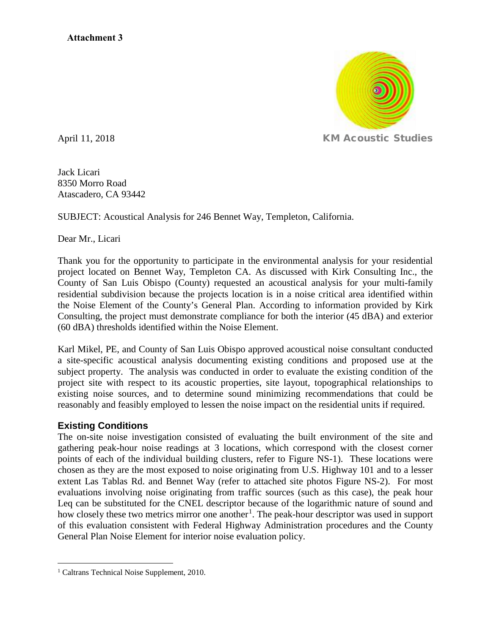

Jack Licari 8350 Morro Road Atascadero, CA 93442

SUBJECT: Acoustical Analysis for 246 Bennet Way, Templeton, California.

Dear Mr., Licari

Thank you for the opportunity to participate in the environmental analysis for your residential project located on Bennet Way, Templeton CA. As discussed with Kirk Consulting Inc., the County of San Luis Obispo (County) requested an acoustical analysis for your multi-family residential subdivision because the projects location is in a noise critical area identified within the Noise Element of the County's General Plan. According to information provided by Kirk Consulting, the project must demonstrate compliance for both the interior (45 dBA) and exterior (60 dBA) thresholds identified within the Noise Element.

Karl Mikel, PE, and County of San Luis Obispo approved acoustical noise consultant conducted a site-specific acoustical analysis documenting existing conditions and proposed use at the subject property. The analysis was conducted in order to evaluate the existing condition of the project site with respect to its acoustic properties, site layout, topographical relationships to existing noise sources, and to determine sound minimizing recommendations that could be reasonably and feasibly employed to lessen the noise impact on the residential units if required.

## **Existing Conditions**

The on-site noise investigation consisted of evaluating the built environment of the site and gathering peak-hour noise readings at 3 locations, which correspond with the closest corner points of each of the individual building clusters, refer to Figure NS-1). These locations were chosen as they are the most exposed to noise originating from U.S. Highway 101 and to a lesser extent Las Tablas Rd. and Bennet Way (refer to attached site photos Figure NS-2). For most evaluations involving noise originating from traffic sources (such as this case), the peak hour Leq can be substituted for the CNEL descriptor because of the logarithmic nature of sound and how closely these two metrics mirror one another<sup>[1](#page-0-0)</sup>. The peak-hour descriptor was used in support of this evaluation consistent with Federal Highway Administration procedures and the County General Plan Noise Element for interior noise evaluation policy.

<span id="page-0-0"></span><sup>&</sup>lt;sup>1</sup> Caltrans Technical Noise Supplement, 2010.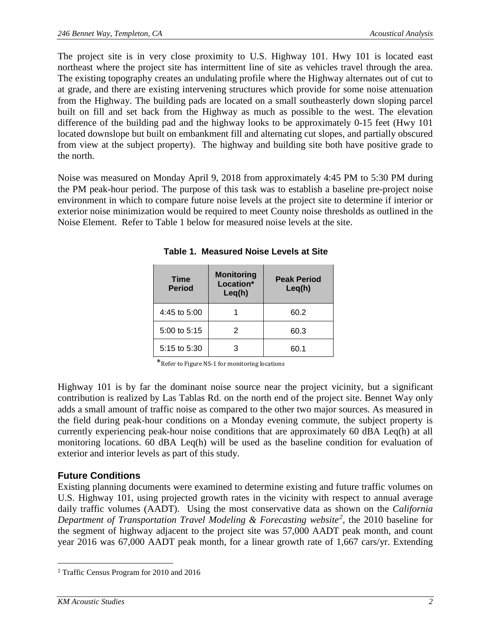The project site is in very close proximity to U.S. Highway 101. Hwy 101 is located east northeast where the project site has intermittent line of site as vehicles travel through the area. The existing topography creates an undulating profile where the Highway alternates out of cut to at grade, and there are existing intervening structures which provide for some noise attenuation from the Highway. The building pads are located on a small southeasterly down sloping parcel built on fill and set back from the Highway as much as possible to the west. The elevation difference of the building pad and the highway looks to be approximately 0-15 feet (Hwy 101 located downslope but built on embankment fill and alternating cut slopes, and partially obscured from view at the subject property). The highway and building site both have positive grade to the north.

Noise was measured on Monday April 9, 2018 from approximately 4:45 PM to 5:30 PM during the PM peak-hour period. The purpose of this task was to establish a baseline pre-project noise environment in which to compare future noise levels at the project site to determine if interior or exterior noise minimization would be required to meet County noise thresholds as outlined in the Noise Element. Refer to Table 1 below for measured noise levels at the site.

| <b>Time</b><br><b>Period</b> | <b>Monitoring</b><br>Location*<br>Leq(h) | <b>Peak Period</b><br>Leq(h) |
|------------------------------|------------------------------------------|------------------------------|
| 4:45 to 5:00                 |                                          | 60.2                         |
| 5:00 to 5:15                 | 2                                        | 60.3                         |
| 5:15 to 5:30                 | З                                        | 60.1                         |

**Table 1. Measured Noise Levels at Site** 

\*Refer to Figure NS-1 for monitoring locations

Highway 101 is by far the dominant noise source near the project vicinity, but a significant contribution is realized by Las Tablas Rd. on the north end of the project site. Bennet Way only adds a small amount of traffic noise as compared to the other two major sources. As measured in the field during peak-hour conditions on a Monday evening commute, the subject property is currently experiencing peak-hour noise conditions that are approximately 60 dBA Leq(h) at all monitoring locations. 60 dBA Leq(h) will be used as the baseline condition for evaluation of exterior and interior levels as part of this study.

## **Future Conditions**

Existing planning documents were examined to determine existing and future traffic volumes on U.S. Highway 101, using projected growth rates in the vicinity with respect to annual average daily traffic volumes (AADT). Using the most conservative data as shown on the *California*  Department of Transportation Travel Modeling & Forecasting website<sup>[2](#page-1-0)</sup>, the 2010 baseline for the segment of highway adjacent to the project site was 57,000 AADT peak month, and count year 2016 was 67,000 AADT peak month, for a linear growth rate of 1,667 cars/yr. Extending

<span id="page-1-0"></span> <sup>2</sup> Traffic Census Program for 2010 and 2016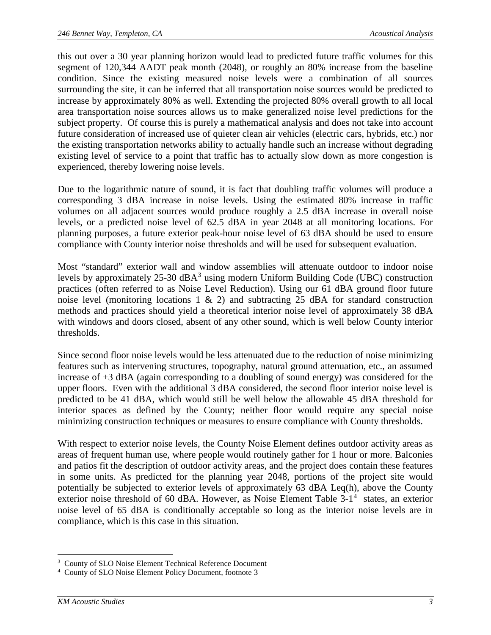this out over a 30 year planning horizon would lead to predicted future traffic volumes for this segment of 120,344 AADT peak month (2048), or roughly an 80% increase from the baseline condition. Since the existing measured noise levels were a combination of all sources surrounding the site, it can be inferred that all transportation noise sources would be predicted to increase by approximately 80% as well. Extending the projected 80% overall growth to all local area transportation noise sources allows us to make generalized noise level predictions for the subject property. Of course this is purely a mathematical analysis and does not take into account future consideration of increased use of quieter clean air vehicles (electric cars, hybrids, etc.) nor the existing transportation networks ability to actually handle such an increase without degrading existing level of service to a point that traffic has to actually slow down as more congestion is experienced, thereby lowering noise levels.

Due to the logarithmic nature of sound, it is fact that doubling traffic volumes will produce a corresponding 3 dBA increase in noise levels. Using the estimated 80% increase in traffic volumes on all adjacent sources would produce roughly a 2.5 dBA increase in overall noise levels, or a predicted noise level of 62.5 dBA in year 2048 at all monitoring locations. For planning purposes, a future exterior peak-hour noise level of 63 dBA should be used to ensure compliance with County interior noise thresholds and will be used for subsequent evaluation.

Most "standard" exterior wall and window assemblies will attenuate outdoor to indoor noise levels by approximately  $25-30$  $25-30$  $25-30$  dBA<sup>3</sup> using modern Uniform Building Code (UBC) construction practices (often referred to as Noise Level Reduction). Using our 61 dBA ground floor future noise level (monitoring locations 1  $\&$  2) and subtracting 25 dBA for standard construction methods and practices should yield a theoretical interior noise level of approximately 38 dBA with windows and doors closed, absent of any other sound, which is well below County interior thresholds.

Since second floor noise levels would be less attenuated due to the reduction of noise minimizing features such as intervening structures, topography, natural ground attenuation, etc., an assumed increase of +3 dBA (again corresponding to a doubling of sound energy) was considered for the upper floors. Even with the additional 3 dBA considered, the second floor interior noise level is predicted to be 41 dBA, which would still be well below the allowable 45 dBA threshold for interior spaces as defined by the County; neither floor would require any special noise minimizing construction techniques or measures to ensure compliance with County thresholds.

With respect to exterior noise levels, the County Noise Element defines outdoor activity areas as areas of frequent human use, where people would routinely gather for 1 hour or more. Balconies and patios fit the description of outdoor activity areas, and the project does contain these features in some units. As predicted for the planning year 2048, portions of the project site would potentially be subjected to exterior levels of approximately 63 dBA Leq(h), above the County exterior noise threshold of 60 dBA. However, as Noise Element Table  $3-1<sup>4</sup>$  $3-1<sup>4</sup>$  $3-1<sup>4</sup>$  states, an exterior noise level of 65 dBA is conditionally acceptable so long as the interior noise levels are in compliance, which is this case in this situation.

<span id="page-2-0"></span><sup>&</sup>lt;sup>-</sup><br>3 <sup>3</sup> County of SLO Noise Element Technical Reference Document

<span id="page-2-1"></span><sup>4</sup> County of SLO Noise Element Policy Document, footnote 3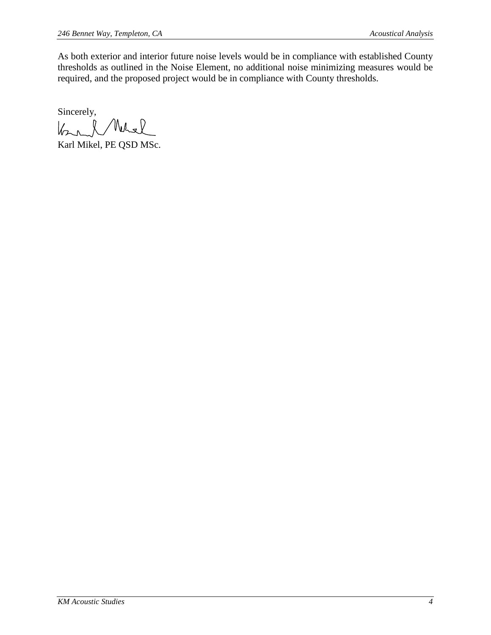As both exterior and interior future noise levels would be in compliance with established County thresholds as outlined in the Noise Element, no additional noise minimizing measures would be required, and the proposed project would be in compliance with County thresholds.

Sincerely,  $k+l$ Nels

Karl Mikel, PE QSD MSc.